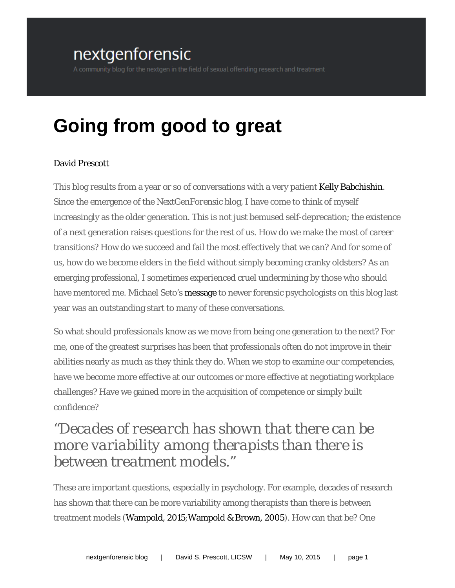## nextgenforensic

# **Going from good to great**

#### [David Prescott](http://www.davidprescott.net/)

This blog results from a year or so of conversations with a very patient [Kelly Babchishin.](https://kellybabchishin.wordpress.com/) Since the emergence of the *NextGenForensic* blog, I have come to think of myself increasingly as the older generation. This is not just bemused self-deprecation; the existence of a next generation raises questions for the rest of us. How do we make the most of career transitions? How do we succeed and fail the most effectively that we can? And for some of us, how do we become elders in the field without simply becoming cranky oldsters? As an emerging professional, I sometimes experienced cruel undermining by those who should have mentored me. Michael Seto's [message](http://wp.me/p2RS15-4i) to newer forensic psychologists on this blog last year was an outstanding start to many of these conversations.

So what should professionals know as we move from being one generation to the next? For me, one of the greatest surprises has been that professionals often do not improve in their abilities nearly as much as they think they do. When we stop to examine our competencies, have we become more effective at our outcomes or more effective at negotiating workplace challenges? Have we gained more in the acquisition of competence or simply built confidence?

### *"Decades of research has shown that there can be more variability among therapists than there is between treatment models."*

These are important questions, especially in psychology. For example, decades of research has shown that there can be more variability among therapists than there is between treatment models [\(Wampold, 2015;](http://www.amazon.com/The-Great-Psychotherapy-Debate-Investigating/dp/0805832025)[Wampold & Brown, 2005\)](http://www.safranlab.net/uploads/7/6/4/6/7646935/wampold_2005.pdf). How can that be? One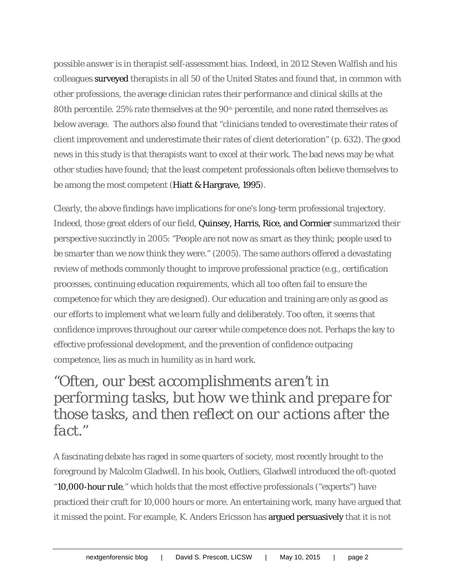possible answer is in therapist self-assessment bias. Indeed, in 2012 Steven Walfish and his colleagues [surveyed](http://www.researchgate.net/profile/Lambert_Michael/publication/225185238_An_investigation_of_self-assessment_bias_in_mental_health_providers/links/541220ef0cf2788c4b35542d.pdf) therapists in all 50 of the United States and found that, in common with other professions, the average clinician rates their performance and clinical skills at the 80th percentile. 25% rate themselves at the 90<sup>th</sup> percentile, and none rated themselves as below average. The authors also found that "clinicians tended to overestimate their rates of client improvement and underestimate their rates of client deterioration" (p. 632). The good news in this study is that therapists want to excel at their work. The bad news may be what other studies have found; that the least competent professionals often believe themselves to be among the most competent [\(Hiatt & Hargrave, 1995\)](http://www.ncbi.nlm.nih.gov/pubmed/10144845).

Clearly, the above findings have implications for one's long-term professional trajectory. Indeed, those great elders of our field, [Quinsey, Harris, Rice, and Cormier](http://www.apa.org/pubs/books/4316068.aspx) summarized their perspective succinctly in 2005: "People are not now as smart as they think; people used to be smarter than we now think they were." (2005). The same authors offered a devastating review of methods commonly thought to improve professional practice (e.g., certification processes, continuing education requirements, which all too often fail to ensure the competence for which they are designed). Our education and training are only as good as our efforts to implement what we learn fully and deliberately. Too often, it seems that confidence improves throughout our career while competence does not. Perhaps the key to effective professional development, and the prevention of confidence outpacing competence, lies as much in humility as in hard work.

## *"Often, our best accomplishments aren't in performing tasks, but how we think and prepare for those tasks, and then reflect on our actions after the fact."*

A fascinating debate has raged in some quarters of society, most recently brought to the foreground by Malcolm Gladwell. In his book, Outliers, Gladwell introduced the oft-quoted ["10,000-hour rule,](http://gladwell.com/outliers/the-10000-hour-rule/)" which holds that the most effective professionals ("experts") have practiced their craft for 10,000 hours or more. An entertaining work, many have argued that it missed the point. For example, K. Anders Ericsson has [argued persuasively](http://projects.ict.usc.edu/itw/gel/EricssonDeliberatePracticePR93.pdf) that it is not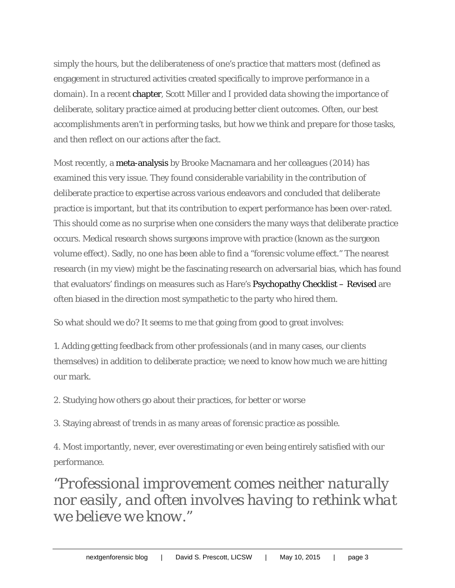simply the hours, but the deliberateness of one's practice that matters most (defined as engagement in structured activities created specifically to improve performance in a domain). In a recent [chapter,](http://www.scottdmiller.com/wp-content/uploads/2014/06/Improving-Outcomes-One-Client-at-a-Time-FIT-with-Adolescents-Who-Have-Sexually-Abused.pdf) Scott Miller and I provided data showing the importance of deliberate, solitary practice aimed at producing better client outcomes. Often, our best accomplishments aren't in performing tasks, but how we think and prepare for those tasks, and then reflect on our actions after the fact.

Most recently, a [meta-analysis](http://www.researchgate.net/publication/263713247_Deliberate_Practice_and_Performance_in_Music_Games_Sports_Education_and_Professions_A_Meta-Analysis) by Brooke Macnamara and her colleagues (2014) has examined this very issue. They found considerable variability in the contribution of deliberate practice to expertise across various endeavors and concluded that deliberate practice is important, but that its contribution to expert performance has been over-rated. This should come as no surprise when one considers the many ways that deliberate practice occurs. Medical research shows surgeons improve with practice (known as the surgeon volume effect). Sadly, no one has been able to find a "forensic volume effect." The nearest research (in my view) might be the fascinating research on adversarial bias, which has found that evaluators' findings on measures such as Hare's [Psychopathy Checklist –](http://www.hare.org/scales/pclr.html) Revised are often biased in the direction most sympathetic to the party who hired them.

So what should we do? It seems to me that going from good to great involves:

1. Adding getting feedback from other professionals (and in many cases, our clients themselves) in addition to deliberate practice; we need to know how much we are hitting our mark.

2. Studying how others go about their practices, for better or worse

3. Staying abreast of trends in as many areas of forensic practice as possible.

4. Most importantly, never, ever overestimating or even being entirely satisfied with our performance.

*"Professional improvement comes neither naturally nor easily, and often involves having to rethink what we believe we know."*